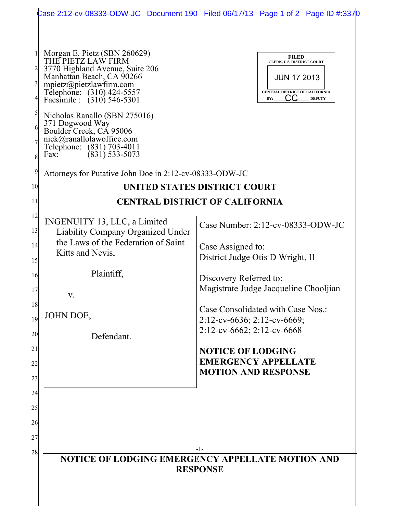|                                        |                                                                                                                                                                                                                                                                                                                                                                               | Case 2:12-cv-08333-ODW-JC Document 190 Filed 06/17/13 Page 1 of 2 Page ID #:3370                                           |
|----------------------------------------|-------------------------------------------------------------------------------------------------------------------------------------------------------------------------------------------------------------------------------------------------------------------------------------------------------------------------------------------------------------------------------|----------------------------------------------------------------------------------------------------------------------------|
| $\overline{\mathbf{3}}$<br>5<br>6<br>8 | Morgan E. Pietz (SBN 260629)<br>THE PIETZ LAW FIRM<br>3770 Highland Avenue, Suite 206<br>Manhattan Beach, CA 90266<br>mpietz@pietzlawfirm.com<br>Telephone: (310) 424-5557<br>Facsimile : (310) 546-5301<br>Nicholas Ranallo (SBN 275016)<br>371 Dogwood Way<br>Boulder Creek, CA 95006<br>nick@ranallolawoffice.com<br>Telephone: (831) 703-4011<br>$(831)$ 533-5073<br>Fax: | <b>FILED</b><br>CLERK, U.S. DISTRICT COURT<br><b>JUN 17 2013</b><br>CENTRAL DISTRICT OF CALIFORNIA<br><b>DEPUTY</b><br>BY: |
| 9                                      | Attorneys for Putative John Doe in 2:12-cv-08333-ODW-JC                                                                                                                                                                                                                                                                                                                       |                                                                                                                            |
| 10                                     | UNITED STATES DISTRICT COURT                                                                                                                                                                                                                                                                                                                                                  |                                                                                                                            |
| 11                                     | <b>CENTRAL DISTRICT OF CALIFORNIA</b>                                                                                                                                                                                                                                                                                                                                         |                                                                                                                            |
| 12                                     | INGENUITY 13, LLC, a Limited                                                                                                                                                                                                                                                                                                                                                  |                                                                                                                            |
| 13                                     | Liability Company Organized Under                                                                                                                                                                                                                                                                                                                                             | Case Number: 2:12-cv-08333-ODW-JC                                                                                          |
| 14                                     | the Laws of the Federation of Saint<br>Kitts and Nevis,                                                                                                                                                                                                                                                                                                                       | Case Assigned to:                                                                                                          |
| 15                                     |                                                                                                                                                                                                                                                                                                                                                                               | District Judge Otis D Wright, II                                                                                           |
| 16                                     | Plaintiff,                                                                                                                                                                                                                                                                                                                                                                    | Discovery Referred to:                                                                                                     |
| 17                                     | V.                                                                                                                                                                                                                                                                                                                                                                            | Magistrate Judge Jacqueline Chooljian                                                                                      |
| 18                                     | JOHN DOE,                                                                                                                                                                                                                                                                                                                                                                     | Case Consolidated with Case Nos.:                                                                                          |
| 19                                     |                                                                                                                                                                                                                                                                                                                                                                               | $2:12$ -cv-6636; 2:12-cv-6669;<br>2:12-cv-6662; 2:12-cv-6668                                                               |
| 20                                     | Defendant.                                                                                                                                                                                                                                                                                                                                                                    |                                                                                                                            |
| 21                                     |                                                                                                                                                                                                                                                                                                                                                                               | <b>NOTICE OF LODGING</b><br><b>EMERGENCY APPELLATE</b>                                                                     |
| 22<br>23                               |                                                                                                                                                                                                                                                                                                                                                                               | <b>MOTION AND RESPONSE</b>                                                                                                 |
| 24                                     |                                                                                                                                                                                                                                                                                                                                                                               |                                                                                                                            |
| 25                                     |                                                                                                                                                                                                                                                                                                                                                                               |                                                                                                                            |
| 26                                     |                                                                                                                                                                                                                                                                                                                                                                               |                                                                                                                            |
| 27                                     |                                                                                                                                                                                                                                                                                                                                                                               |                                                                                                                            |
| 28                                     | -1-                                                                                                                                                                                                                                                                                                                                                                           |                                                                                                                            |
|                                        | NOTICE OF LODGING EMERGENCY APPELLATE MOTION AND<br><b>RESPONSE</b>                                                                                                                                                                                                                                                                                                           |                                                                                                                            |
|                                        |                                                                                                                                                                                                                                                                                                                                                                               |                                                                                                                            |
|                                        |                                                                                                                                                                                                                                                                                                                                                                               |                                                                                                                            |
|                                        |                                                                                                                                                                                                                                                                                                                                                                               |                                                                                                                            |